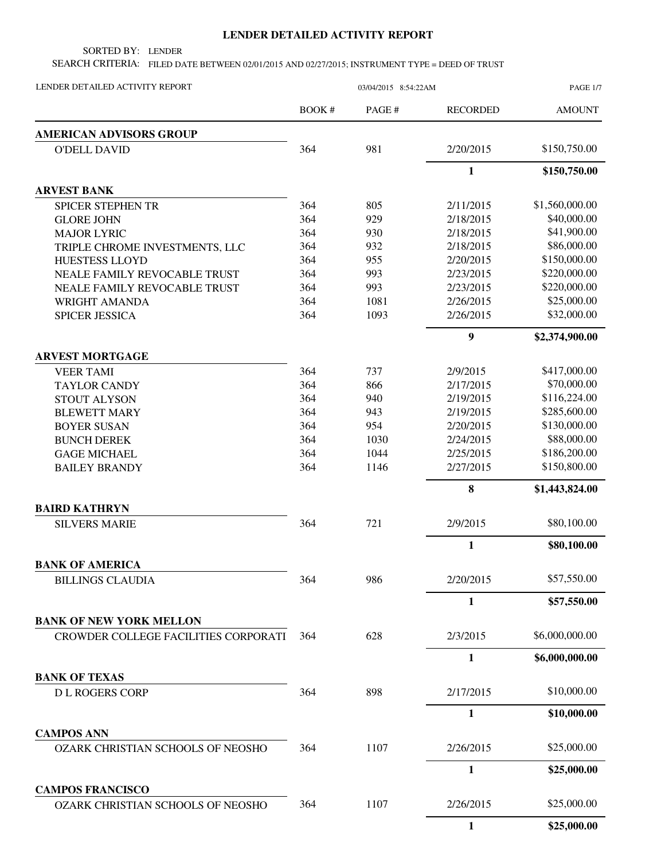## **LENDER DETAILED ACTIVITY REPORT**

SORTED BY: LENDER

SEARCH CRITERIA: FILED DATE BETWEEN 02/01/2015 AND 02/27/2015; INSTRUMENT TYPE = DEED OF TRUST

| LENDER DETAILED ACTIVITY REPORT      | 03/04/2015 8:54:22AM |        |                  | <b>PAGE 1/7</b> |  |
|--------------------------------------|----------------------|--------|------------------|-----------------|--|
|                                      | BOOK#                | PAGE # | <b>RECORDED</b>  | <b>AMOUNT</b>   |  |
| <b>AMERICAN ADVISORS GROUP</b>       |                      |        |                  |                 |  |
| <b>O'DELL DAVID</b>                  | 364                  | 981    | 2/20/2015        | \$150,750.00    |  |
|                                      |                      |        | $\mathbf{1}$     | \$150,750.00    |  |
| <b>ARVEST BANK</b>                   |                      |        |                  |                 |  |
| <b>SPICER STEPHEN TR</b>             | 364                  | 805    | 2/11/2015        | \$1,560,000.00  |  |
| <b>GLORE JOHN</b>                    | 364                  | 929    | 2/18/2015        | \$40,000.00     |  |
| <b>MAJOR LYRIC</b>                   | 364                  | 930    | 2/18/2015        | \$41,900.00     |  |
| TRIPLE CHROME INVESTMENTS, LLC       | 364                  | 932    | 2/18/2015        | \$86,000.00     |  |
| <b>HUESTESS LLOYD</b>                | 364                  | 955    | 2/20/2015        | \$150,000.00    |  |
| NEALE FAMILY REVOCABLE TRUST         | 364                  | 993    | 2/23/2015        | \$220,000.00    |  |
| NEALE FAMILY REVOCABLE TRUST         | 364                  | 993    | 2/23/2015        | \$220,000.00    |  |
| WRIGHT AMANDA                        | 364                  | 1081   | 2/26/2015        | \$25,000.00     |  |
| <b>SPICER JESSICA</b>                | 364                  | 1093   | 2/26/2015        | \$32,000.00     |  |
|                                      |                      |        | $\boldsymbol{9}$ | \$2,374,900.00  |  |
| <b>ARVEST MORTGAGE</b>               |                      |        |                  |                 |  |
| <b>VEER TAMI</b>                     | 364                  | 737    | 2/9/2015         | \$417,000.00    |  |
| <b>TAYLOR CANDY</b>                  | 364                  | 866    | 2/17/2015        | \$70,000.00     |  |
| <b>STOUT ALYSON</b>                  | 364                  | 940    | 2/19/2015        | \$116,224.00    |  |
| <b>BLEWETT MARY</b>                  | 364                  | 943    | 2/19/2015        | \$285,600.00    |  |
| <b>BOYER SUSAN</b>                   | 364                  | 954    | 2/20/2015        | \$130,000.00    |  |
| <b>BUNCH DEREK</b>                   | 364                  | 1030   | 2/24/2015        | \$88,000.00     |  |
| <b>GAGE MICHAEL</b>                  | 364                  | 1044   | 2/25/2015        | \$186,200.00    |  |
| <b>BAILEY BRANDY</b>                 | 364                  | 1146   | 2/27/2015        | \$150,800.00    |  |
|                                      |                      |        | 8                | \$1,443,824.00  |  |
| <b>BAIRD KATHRYN</b>                 |                      |        |                  |                 |  |
| <b>SILVERS MARIE</b>                 | 364                  | 721    | 2/9/2015         | \$80,100.00     |  |
|                                      |                      |        | 1                | \$80,100.00     |  |
| <b>BANK OF AMERICA</b>               |                      |        |                  |                 |  |
| <b>BILLINGS CLAUDIA</b>              | 364                  | 986    | 2/20/2015        | \$57,550.00     |  |
|                                      |                      |        | 1                | \$57,550.00     |  |
| <b>BANK OF NEW YORK MELLON</b>       |                      |        |                  |                 |  |
| CROWDER COLLEGE FACILITIES CORPORATI | 364                  | 628    | 2/3/2015         | \$6,000,000.00  |  |
|                                      |                      |        | 1                | \$6,000,000.00  |  |
| <b>BANK OF TEXAS</b>                 |                      |        |                  |                 |  |
| <b>DL ROGERS CORP</b>                | 364                  | 898    | 2/17/2015        | \$10,000.00     |  |
|                                      |                      |        | 1                | \$10,000.00     |  |
| <b>CAMPOS ANN</b>                    |                      |        |                  |                 |  |
| OZARK CHRISTIAN SCHOOLS OF NEOSHO    | 364                  | 1107   | 2/26/2015        | \$25,000.00     |  |
|                                      |                      |        | $\mathbf{1}$     | \$25,000.00     |  |
| <b>CAMPOS FRANCISCO</b>              |                      |        |                  |                 |  |
| OZARK CHRISTIAN SCHOOLS OF NEOSHO    | 364                  | 1107   | 2/26/2015        | \$25,000.00     |  |
|                                      |                      |        | $\mathbf{1}$     | \$25,000.00     |  |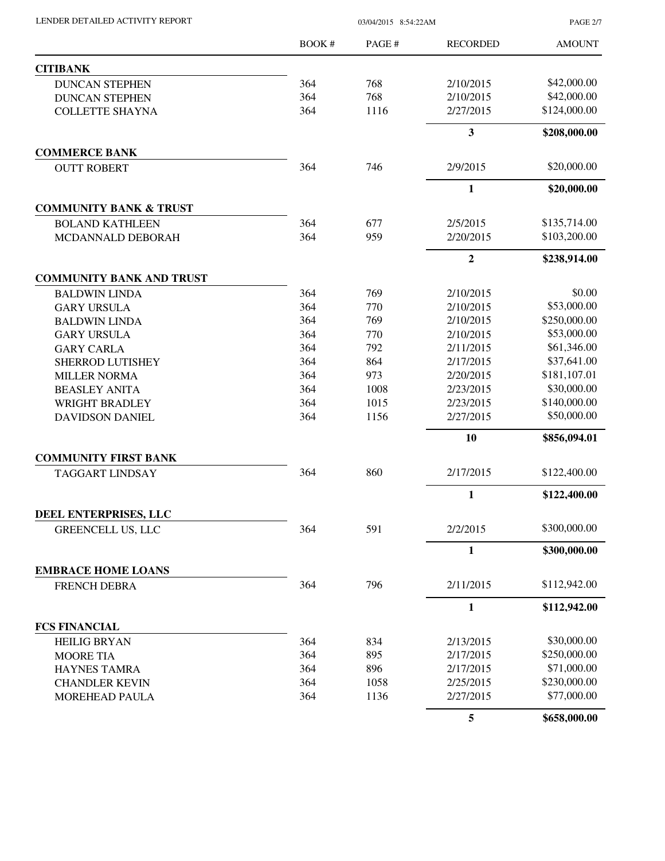| LENDER DETAILED ACTIVITY REPORT |  |
|---------------------------------|--|
|                                 |  |

03/04/2015 8:54:22AM

PAGE 2/7

|                                   | BOOK# | PAGE# | <b>RECORDED</b> | <b>AMOUNT</b> |
|-----------------------------------|-------|-------|-----------------|---------------|
| <b>CITIBANK</b>                   |       |       |                 |               |
| <b>DUNCAN STEPHEN</b>             | 364   | 768   | 2/10/2015       | \$42,000.00   |
| <b>DUNCAN STEPHEN</b>             | 364   | 768   | 2/10/2015       | \$42,000.00   |
| <b>COLLETTE SHAYNA</b>            | 364   | 1116  | 2/27/2015       | \$124,000.00  |
|                                   |       |       | 3               | \$208,000.00  |
| <b>COMMERCE BANK</b>              |       |       |                 |               |
| <b>OUTT ROBERT</b>                | 364   | 746   | 2/9/2015        | \$20,000.00   |
|                                   |       |       | $\mathbf{1}$    | \$20,000.00   |
| <b>COMMUNITY BANK &amp; TRUST</b> |       |       |                 |               |
| <b>BOLAND KATHLEEN</b>            | 364   | 677   | 2/5/2015        | \$135,714.00  |
| MCDANNALD DEBORAH                 | 364   | 959   | 2/20/2015       | \$103,200.00  |
|                                   |       |       | $\mathbf{2}$    | \$238,914.00  |
| <b>COMMUNITY BANK AND TRUST</b>   |       |       |                 |               |
| <b>BALDWIN LINDA</b>              | 364   | 769   | 2/10/2015       | \$0.00        |
| <b>GARY URSULA</b>                | 364   | 770   | 2/10/2015       | \$53,000.00   |
| <b>BALDWIN LINDA</b>              | 364   | 769   | 2/10/2015       | \$250,000.00  |
| <b>GARY URSULA</b>                | 364   | 770   | 2/10/2015       | \$53,000.00   |
| <b>GARY CARLA</b>                 | 364   | 792   | 2/11/2015       | \$61,346.00   |
| SHERROD LUTISHEY                  | 364   | 864   | 2/17/2015       | \$37,641.00   |
| <b>MILLER NORMA</b>               | 364   | 973   | 2/20/2015       | \$181,107.01  |
| <b>BEASLEY ANITA</b>              | 364   | 1008  | 2/23/2015       | \$30,000.00   |
| <b>WRIGHT BRADLEY</b>             | 364   | 1015  | 2/23/2015       | \$140,000.00  |
| <b>DAVIDSON DANIEL</b>            | 364   | 1156  | 2/27/2015       | \$50,000.00   |
|                                   |       |       | 10              | \$856,094.01  |
| <b>COMMUNITY FIRST BANK</b>       |       |       |                 |               |
| <b>TAGGART LINDSAY</b>            | 364   | 860   | 2/17/2015       | \$122,400.00  |
|                                   |       |       | 1               | \$122,400.00  |
| DEEL ENTERPRISES, LLC             |       |       |                 |               |
| <b>GREENCELL US, LLC</b>          | 364   | 591   | 2/2/2015        | \$300,000.00  |
|                                   |       |       | $\mathbf{1}$    | \$300,000.00  |
| <b>EMBRACE HOME LOANS</b>         |       |       |                 |               |
| <b>FRENCH DEBRA</b>               | 364   | 796   | 2/11/2015       | \$112,942.00  |
|                                   |       |       | $\mathbf{1}$    | \$112,942.00  |
| <b>FCS FINANCIAL</b>              |       |       |                 |               |
| <b>HEILIG BRYAN</b>               | 364   | 834   | 2/13/2015       | \$30,000.00   |
| <b>MOORE TIA</b>                  | 364   | 895   | 2/17/2015       | \$250,000.00  |
| <b>HAYNES TAMRA</b>               | 364   | 896   | 2/17/2015       | \$71,000.00   |
| <b>CHANDLER KEVIN</b>             | 364   | 1058  | 2/25/2015       | \$230,000.00  |
| MOREHEAD PAULA                    | 364   | 1136  | 2/27/2015       | \$77,000.00   |
|                                   |       |       | 5               | \$658,000.00  |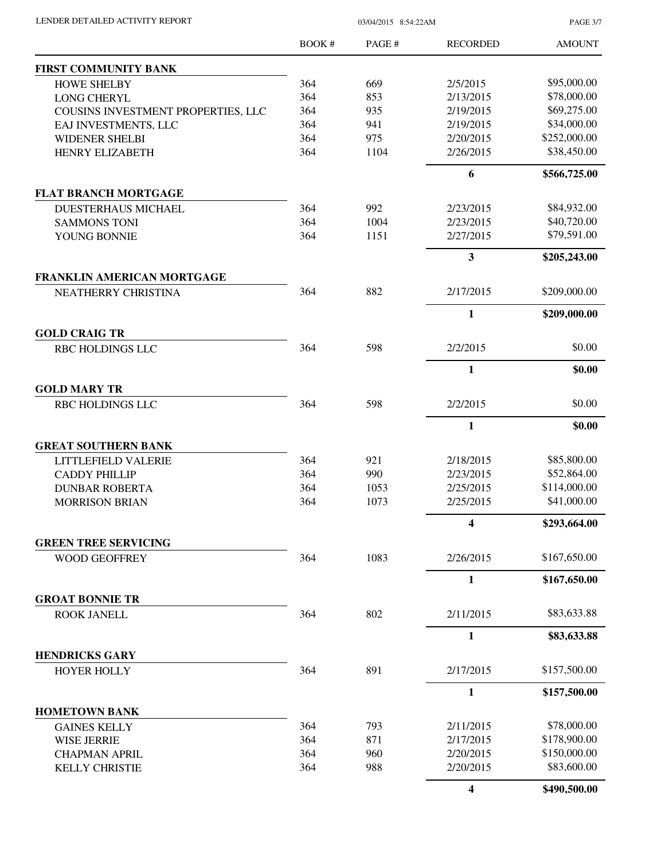PAGE 3/7

|                                                 | <b>BOOK#</b> | PAGE # | <b>RECORDED</b>         | <b>AMOUNT</b> |
|-------------------------------------------------|--------------|--------|-------------------------|---------------|
| <b>FIRST COMMUNITY BANK</b>                     |              |        |                         |               |
| <b>HOWE SHELBY</b>                              | 364          | 669    | 2/5/2015                | \$95,000.00   |
| <b>LONG CHERYL</b>                              | 364          | 853    | 2/13/2015               | \$78,000.00   |
| COUSINS INVESTMENT PROPERTIES, LLC              | 364          | 935    | 2/19/2015               | \$69,275.00   |
| EAJ INVESTMENTS, LLC                            | 364          | 941    | 2/19/2015               | \$34,000.00   |
| <b>WIDENER SHELBI</b>                           | 364          | 975    | 2/20/2015               | \$252,000.00  |
| <b>HENRY ELIZABETH</b>                          | 364          | 1104   | 2/26/2015               | \$38,450.00   |
|                                                 |              |        | 6                       | \$566,725.00  |
| <b>FLAT BRANCH MORTGAGE</b>                     |              |        |                         |               |
| <b>DUESTERHAUS MICHAEL</b>                      | 364          | 992    | 2/23/2015               | \$84,932.00   |
| <b>SAMMONS TONI</b>                             | 364          | 1004   | 2/23/2015               | \$40,720.00   |
| YOUNG BONNIE                                    | 364          | 1151   | 2/27/2015               | \$79,591.00   |
|                                                 |              |        | $\overline{\mathbf{3}}$ | \$205,243.00  |
| FRANKLIN AMERICAN MORTGAGE                      |              |        |                         |               |
| NEATHERRY CHRISTINA                             | 364          | 882    | 2/17/2015               | \$209,000.00  |
|                                                 |              |        | 1                       | \$209,000.00  |
| <b>GOLD CRAIG TR</b><br><b>RBC HOLDINGS LLC</b> | 364          | 598    | 2/2/2015                | \$0.00        |
|                                                 |              |        | $\mathbf{1}$            | \$0.00        |
| <b>GOLD MARY TR</b>                             |              |        |                         |               |
| RBC HOLDINGS LLC                                | 364          | 598    | 2/2/2015                | \$0.00        |
|                                                 |              |        | $\mathbf{1}$            | \$0.00        |
| <b>GREAT SOUTHERN BANK</b>                      |              |        |                         |               |
| LITTLEFIELD VALERIE                             | 364          | 921    | 2/18/2015               | \$85,800.00   |
| <b>CADDY PHILLIP</b>                            | 364          | 990    | 2/23/2015               | \$52,864.00   |
| <b>DUNBAR ROBERTA</b>                           | 364          | 1053   | 2/25/2015               | \$114,000.00  |
| <b>MORRISON BRIAN</b>                           | 364          | 1073   | 2/25/2015               | \$41,000.00   |
|                                                 |              |        | $\overline{\mathbf{4}}$ | \$293,664.00  |
| <b>GREEN TREE SERVICING</b>                     |              | 1083   |                         | \$167,650.00  |
| <b>WOOD GEOFFREY</b>                            | 364          |        | 2/26/2015               |               |
| <b>GROAT BONNIE TR</b>                          |              |        | 1                       | \$167,650.00  |
| <b>ROOK JANELL</b>                              | 364          | 802    | 2/11/2015               | \$83,633.88   |
|                                                 |              |        | $\mathbf{1}$            | \$83,633.88   |
| <b>HENDRICKS GARY</b>                           |              |        |                         |               |
| <b>HOYER HOLLY</b>                              | 364          | 891    | 2/17/2015               | \$157,500.00  |
|                                                 |              |        | 1                       | \$157,500.00  |
| <b>HOMETOWN BANK</b>                            |              |        |                         |               |
| <b>GAINES KELLY</b>                             | 364          | 793    | 2/11/2015               | \$78,000.00   |
| <b>WISE JERRIE</b>                              | 364          | 871    | 2/17/2015               | \$178,900.00  |
| <b>CHAPMAN APRIL</b>                            | 364          | 960    | 2/20/2015               | \$150,000.00  |
| <b>KELLY CHRISTIE</b>                           | 364          | 988    | 2/20/2015               | \$83,600.00   |
|                                                 |              |        | $\overline{\mathbf{4}}$ | \$490,500.00  |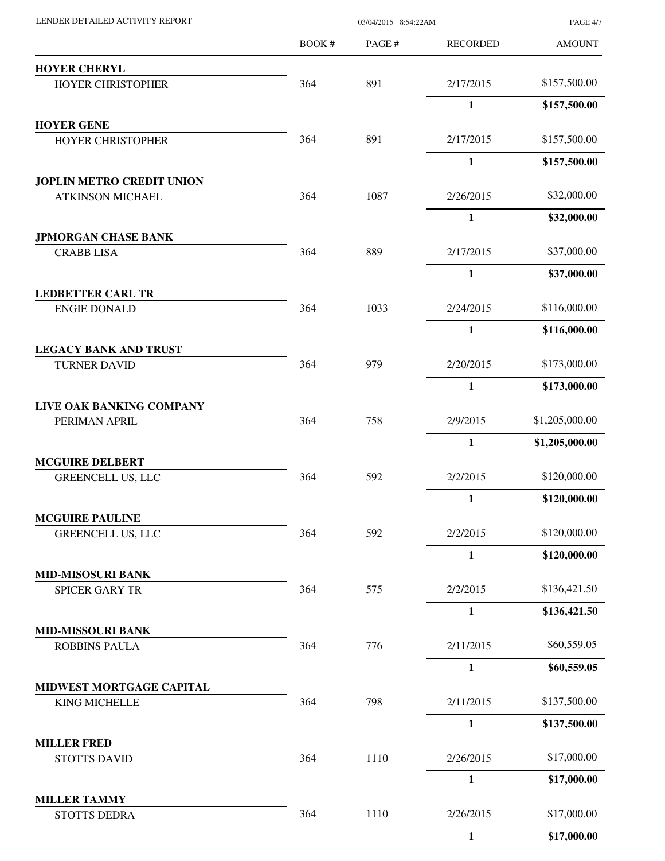| LENDER DETAILED ACTIVITY REPORT                    |       | <b>PAGE 4/7</b> |                 |                |
|----------------------------------------------------|-------|-----------------|-----------------|----------------|
|                                                    | BOOK# | PAGE#           | <b>RECORDED</b> | <b>AMOUNT</b>  |
| <b>HOYER CHERYL</b>                                |       |                 |                 |                |
| <b>HOYER CHRISTOPHER</b>                           | 364   | 891             | 2/17/2015       | \$157,500.00   |
|                                                    |       |                 | $\mathbf{1}$    | \$157,500.00   |
| <b>HOYER GENE</b><br><b>HOYER CHRISTOPHER</b>      | 364   | 891             | 2/17/2015       | \$157,500.00   |
|                                                    |       |                 | $\mathbf{1}$    | \$157,500.00   |
| <b>JOPLIN METRO CREDIT UNION</b>                   |       |                 |                 |                |
| <b>ATKINSON MICHAEL</b>                            | 364   | 1087            | 2/26/2015       | \$32,000.00    |
|                                                    |       |                 | $\mathbf{1}$    | \$32,000.00    |
| <b>JPMORGAN CHASE BANK</b>                         |       |                 |                 |                |
| <b>CRABB LISA</b>                                  | 364   | 889             | 2/17/2015       | \$37,000.00    |
|                                                    |       |                 | $\mathbf{1}$    | \$37,000.00    |
| <b>LEDBETTER CARL TR</b><br><b>ENGIE DONALD</b>    | 364   | 1033            | 2/24/2015       | \$116,000.00   |
|                                                    |       |                 | $\mathbf{1}$    | \$116,000.00   |
| <b>LEGACY BANK AND TRUST</b>                       |       |                 |                 |                |
| <b>TURNER DAVID</b>                                | 364   | 979             | 2/20/2015       | \$173,000.00   |
|                                                    |       |                 | $\mathbf{1}$    | \$173,000.00   |
| LIVE OAK BANKING COMPANY                           |       |                 |                 |                |
| PERIMAN APRIL                                      | 364   | 758             | 2/9/2015        | \$1,205,000.00 |
|                                                    |       |                 | $\mathbf{1}$    | \$1,205,000.00 |
| <b>MCGUIRE DELBERT</b><br><b>GREENCELL US, LLC</b> | 364   | 592             | 2/2/2015        | \$120,000.00   |
|                                                    |       |                 | $\mathbf{1}$    | \$120,000.00   |
| <b>MCGUIRE PAULINE</b>                             |       |                 |                 |                |
| <b>GREENCELL US, LLC</b>                           | 364   | 592             | 2/2/2015        | \$120,000.00   |
|                                                    |       |                 | $\mathbf{1}$    | \$120,000.00   |
| <b>MID-MISOSURI BANK</b><br><b>SPICER GARY TR</b>  | 364   | 575             | 2/2/2015        | \$136,421.50   |
|                                                    |       |                 | $\mathbf{1}$    | \$136,421.50   |
| <b>MID-MISSOURI BANK</b>                           |       |                 |                 |                |
| <b>ROBBINS PAULA</b>                               | 364   | 776             | 2/11/2015       | \$60,559.05    |
|                                                    |       |                 | $\mathbf{1}$    | \$60,559.05    |
| MIDWEST MORTGAGE CAPITAL                           |       |                 |                 |                |
| <b>KING MICHELLE</b>                               | 364   | 798             | 2/11/2015       | \$137,500.00   |
|                                                    |       |                 | $\mathbf{1}$    | \$137,500.00   |
| <b>MILLER FRED</b><br><b>STOTTS DAVID</b>          | 364   | 1110            | 2/26/2015       | \$17,000.00    |
|                                                    |       |                 | $\mathbf{1}$    | \$17,000.00    |
| <b>MILLER TAMMY</b>                                |       |                 |                 |                |
| STOTTS DEDRA                                       | 364   | 1110            | 2/26/2015       | \$17,000.00    |
|                                                    |       |                 | $\mathbf{1}$    | \$17,000.00    |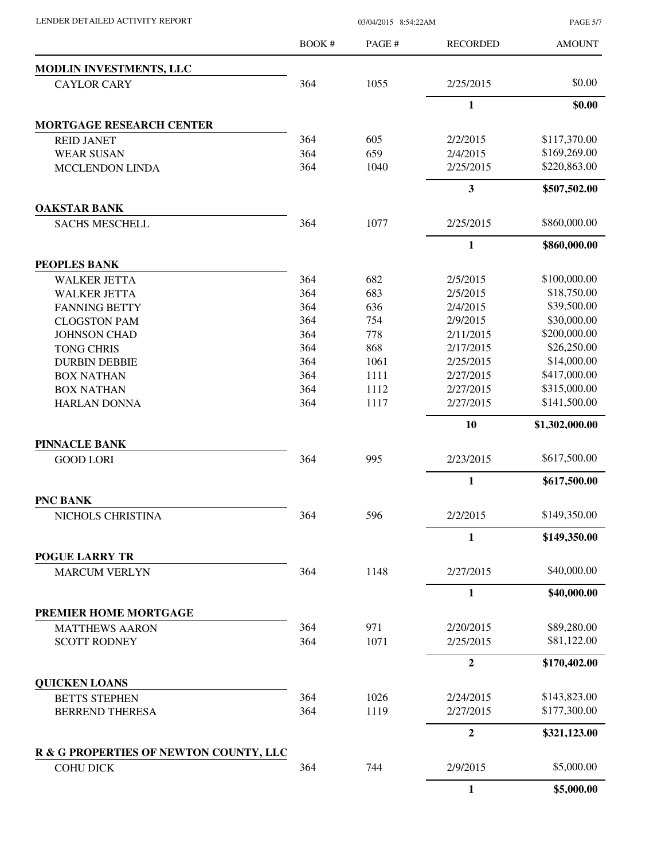| LENDER DETAILED ACTIVITY REPORT |  |
|---------------------------------|--|

03/04/2015 8:54:22AM

PAGE 5/7

|                                               | BOOK# | PAGE# | <b>RECORDED</b>  | <b>AMOUNT</b>  |
|-----------------------------------------------|-------|-------|------------------|----------------|
| MODLIN INVESTMENTS, LLC                       |       |       |                  |                |
| <b>CAYLOR CARY</b>                            | 364   | 1055  | 2/25/2015        | \$0.00         |
|                                               |       |       | $\mathbf{1}$     | \$0.00         |
| <b>MORTGAGE RESEARCH CENTER</b>               |       |       |                  |                |
| <b>REID JANET</b>                             | 364   | 605   | 2/2/2015         | \$117,370.00   |
| <b>WEAR SUSAN</b>                             | 364   | 659   | 2/4/2015         | \$169,269.00   |
| <b>MCCLENDON LINDA</b>                        | 364   | 1040  | 2/25/2015        | \$220,863.00   |
|                                               |       |       | $\mathbf{3}$     | \$507,502.00   |
| <b>OAKSTAR BANK</b>                           | 364   | 1077  |                  | \$860,000.00   |
| <b>SACHS MESCHELL</b>                         |       |       | 2/25/2015        |                |
|                                               |       |       | 1                | \$860,000.00   |
| <b>PEOPLES BANK</b><br><b>WALKER JETTA</b>    | 364   | 682   | 2/5/2015         | \$100,000.00   |
| <b>WALKER JETTA</b>                           | 364   | 683   | 2/5/2015         | \$18,750.00    |
| <b>FANNING BETTY</b>                          | 364   | 636   | 2/4/2015         | \$39,500.00    |
| <b>CLOGSTON PAM</b>                           | 364   | 754   | 2/9/2015         | \$30,000.00    |
| <b>JOHNSON CHAD</b>                           | 364   | 778   | 2/11/2015        | \$200,000.00   |
| <b>TONG CHRIS</b>                             | 364   | 868   | 2/17/2015        | \$26,250.00    |
| <b>DURBIN DEBBIE</b>                          | 364   | 1061  | 2/25/2015        | \$14,000.00    |
| <b>BOX NATHAN</b>                             | 364   | 1111  | 2/27/2015        | \$417,000.00   |
| <b>BOX NATHAN</b>                             | 364   | 1112  | 2/27/2015        | \$315,000.00   |
| <b>HARLAN DONNA</b>                           | 364   | 1117  | 2/27/2015        | \$141,500.00   |
|                                               |       |       | 10               | \$1,302,000.00 |
| <b>PINNACLE BANK</b>                          |       |       |                  |                |
| <b>GOOD LORI</b>                              | 364   | 995   | 2/23/2015        | \$617,500.00   |
|                                               |       |       | $\mathbf{1}$     | \$617,500.00   |
| <b>PNC BANK</b>                               |       |       |                  |                |
| NICHOLS CHRISTINA                             | 364   | 596   | 2/2/2015         | \$149,350.00   |
|                                               |       |       | $\mathbf{1}$     | \$149,350.00   |
| <b>POGUE LARRY TR</b><br><b>MARCUM VERLYN</b> | 364   | 1148  | 2/27/2015        | \$40,000.00    |
|                                               |       |       | $\mathbf{1}$     | \$40,000.00    |
| PREMIER HOME MORTGAGE                         |       |       |                  |                |
| <b>MATTHEWS AARON</b>                         | 364   | 971   | 2/20/2015        | \$89,280.00    |
| <b>SCOTT RODNEY</b>                           | 364   | 1071  | 2/25/2015        | \$81,122.00    |
|                                               |       |       | $\overline{2}$   | \$170,402.00   |
| <b>QUICKEN LOANS</b>                          |       |       |                  |                |
| <b>BETTS STEPHEN</b>                          | 364   | 1026  | 2/24/2015        | \$143,823.00   |
| <b>BERREND THERESA</b>                        | 364   | 1119  | 2/27/2015        | \$177,300.00   |
|                                               |       |       | $\boldsymbol{2}$ | \$321,123.00   |
| R & G PROPERTIES OF NEWTON COUNTY, LLC        |       |       |                  |                |
| <b>COHU DICK</b>                              | 364   | 744   | 2/9/2015         | \$5,000.00     |
|                                               |       |       | $\mathbf{1}$     | \$5,000.00     |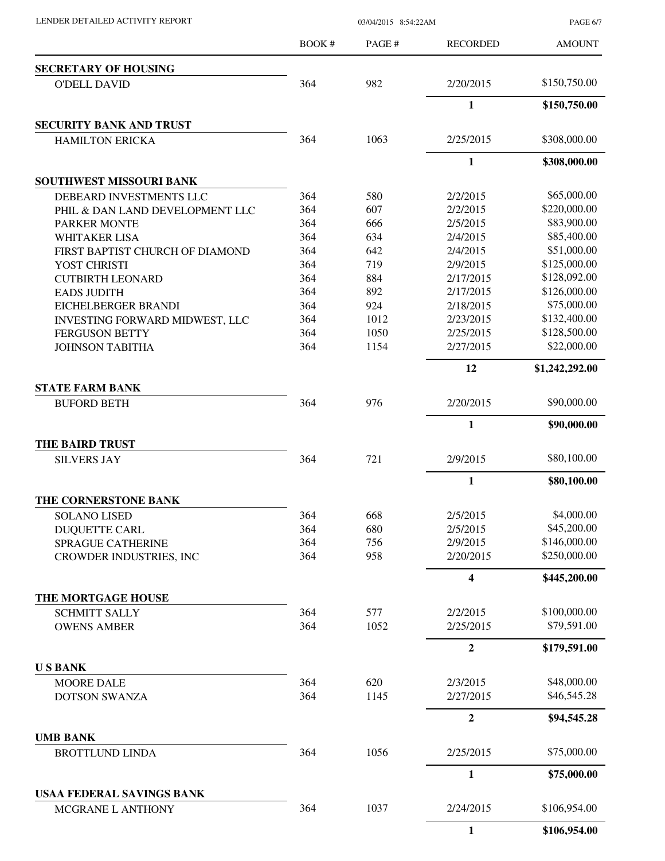LENDER DETAILED ACTIVITY REPORT 03/04/2015 8:54:22AM

PAGE 6/7

|                                           | BOOK# | PAGE# | <b>RECORDED</b>         | <b>AMOUNT</b>  |
|-------------------------------------------|-------|-------|-------------------------|----------------|
| <b>SECRETARY OF HOUSING</b>               |       |       |                         |                |
| <b>O'DELL DAVID</b>                       | 364   | 982   | 2/20/2015               | \$150,750.00   |
|                                           |       |       | 1                       | \$150,750.00   |
| <b>SECURITY BANK AND TRUST</b>            |       |       |                         |                |
| <b>HAMILTON ERICKA</b>                    | 364   | 1063  | 2/25/2015               | \$308,000.00   |
|                                           |       |       | $\mathbf{1}$            | \$308,000.00   |
| <b>SOUTHWEST MISSOURI BANK</b>            |       |       |                         |                |
| DEBEARD INVESTMENTS LLC                   | 364   | 580   | 2/2/2015                | \$65,000.00    |
| PHIL & DAN LAND DEVELOPMENT LLC           | 364   | 607   | 2/2/2015                | \$220,000.00   |
| PARKER MONTE                              | 364   | 666   | 2/5/2015                | \$83,900.00    |
| <b>WHITAKER LISA</b>                      | 364   | 634   | 2/4/2015                | \$85,400.00    |
| FIRST BAPTIST CHURCH OF DIAMOND           | 364   | 642   | 2/4/2015                | \$51,000.00    |
| YOST CHRISTI                              | 364   | 719   | 2/9/2015                | \$125,000.00   |
| <b>CUTBIRTH LEONARD</b>                   | 364   | 884   | 2/17/2015               | \$128,092.00   |
| <b>EADS JUDITH</b>                        | 364   | 892   | 2/17/2015               | \$126,000.00   |
| EICHELBERGER BRANDI                       | 364   | 924   | 2/18/2015               | \$75,000.00    |
| <b>INVESTING FORWARD MIDWEST, LLC</b>     | 364   | 1012  | 2/23/2015               | \$132,400.00   |
| <b>FERGUSON BETTY</b>                     | 364   | 1050  | 2/25/2015               | \$128,500.00   |
| <b>JOHNSON TABITHA</b>                    | 364   | 1154  | 2/27/2015               | \$22,000.00    |
|                                           |       |       | 12                      | \$1,242,292.00 |
| <b>STATE FARM BANK</b>                    |       |       |                         |                |
| <b>BUFORD BETH</b>                        | 364   | 976   | 2/20/2015               | \$90,000.00    |
|                                           |       |       | $\mathbf{1}$            | \$90,000.00    |
| <b>THE BAIRD TRUST</b>                    |       |       |                         |                |
| <b>SILVERS JAY</b>                        | 364   | 721   | 2/9/2015                | \$80,100.00    |
|                                           |       |       | $\mathbf{1}$            | \$80,100.00    |
| THE CORNERSTONE BANK                      |       |       |                         |                |
| SOLANO LISED                              | 364   | 668   | 2/5/2015                | \$4,000.00     |
| <b>DUQUETTE CARL</b>                      | 364   | 680   | 2/5/2015                | \$45,200.00    |
| <b>SPRAGUE CATHERINE</b>                  | 364   | 756   | 2/9/2015                | \$146,000.00   |
| <b>CROWDER INDUSTRIES, INC</b>            | 364   | 958   | 2/20/2015               | \$250,000.00   |
|                                           |       |       | $\overline{\mathbf{4}}$ | \$445,200.00   |
| THE MORTGAGE HOUSE                        |       |       |                         |                |
| <b>SCHMITT SALLY</b>                      | 364   | 577   | 2/2/2015                | \$100,000.00   |
| <b>OWENS AMBER</b>                        | 364   | 1052  | 2/25/2015               | \$79,591.00    |
|                                           |       |       | $\overline{2}$          | \$179,591.00   |
| <b>USBANK</b>                             |       |       |                         |                |
| <b>MOORE DALE</b>                         | 364   | 620   | 2/3/2015                | \$48,000.00    |
| <b>DOTSON SWANZA</b>                      | 364   | 1145  | 2/27/2015               | \$46,545.28    |
|                                           |       |       | $\boldsymbol{2}$        | \$94,545.28    |
| <b>UMB BANK</b><br><b>BROTTLUND LINDA</b> | 364   | 1056  | 2/25/2015               | \$75,000.00    |
|                                           |       |       | $\mathbf{1}$            | \$75,000.00    |
| USAA FEDERAL SAVINGS BANK                 |       |       |                         |                |
| MCGRANE L ANTHONY                         | 364   | 1037  | 2/24/2015               | \$106,954.00   |
|                                           |       |       | $\mathbf{1}$            | \$106,954.00   |